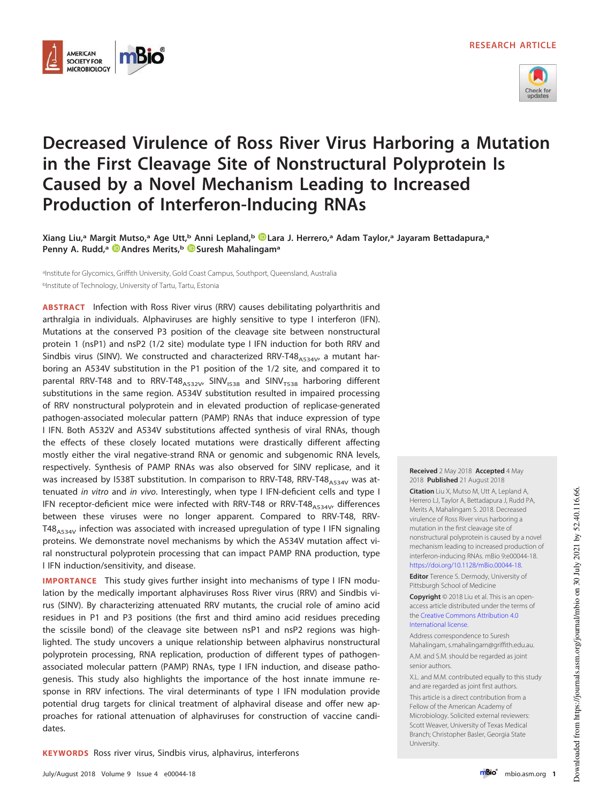



# **Decreased Virulence of Ross River Virus Harboring a Mutation in the First Cleavage Site of Nonstructural Polyprotein Is Caused by a Novel Mechanism Leading to Increased Production of Interferon-Inducing RNAs**

**Xiang Liu,<sup>a</sup> Margit Mutso,<sup>a</sup> Age Utt,<sup>b</sup> Anni Lepland,<sup>b</sup> Lara J. Herrero,<sup>a</sup> Adam Taylor,<sup>a</sup> Jayaram Bettadapura,<sup>a</sup> Penny A. Rudd,<sup>a</sup> Andres Merits,<sup>b</sup> Suresh Mahalingam<sup>a</sup>**

aInstitute for Glycomics, Griffith University, Gold Coast Campus, Southport, Queensland, Australia b Institute of Technology, University of Tartu, Tartu, Estonia

**ABSTRACT** Infection with Ross River virus (RRV) causes debilitating polyarthritis and arthralgia in individuals. Alphaviruses are highly sensitive to type I interferon (IFN). Mutations at the conserved P3 position of the cleavage site between nonstructural protein 1 (nsP1) and nsP2 (1/2 site) modulate type I IFN induction for both RRV and Sindbis virus (SINV). We constructed and characterized RRV-T48 $_{AS34V}$ , a mutant harboring an A534V substitution in the P1 position of the 1/2 site, and compared it to parental RRV-T48 and to RRV-T48<sub>A532V</sub>, SINV<sub>1538</sub> and SINV<sub>T538</sub> harboring different substitutions in the same region. A534V substitution resulted in impaired processing of RRV nonstructural polyprotein and in elevated production of replicase-generated pathogen-associated molecular pattern (PAMP) RNAs that induce expression of type I IFN. Both A532V and A534V substitutions affected synthesis of viral RNAs, though the effects of these closely located mutations were drastically different affecting mostly either the viral negative-strand RNA or genomic and subgenomic RNA levels, respectively. Synthesis of PAMP RNAs was also observed for SINV replicase, and it was increased by I538T substitution. In comparison to RRV-T48, RRV-T48 $_{AS34V}$  was attenuated in vitro and in vivo. Interestingly, when type I IFN-deficient cells and type I IFN receptor-deficient mice were infected with RRV-T48 or RRV-T48 $_{AS34V}$ , differences between these viruses were no longer apparent. Compared to RRV-T48, RRV- $T48<sub>A534V</sub>$  infection was associated with increased upregulation of type I IFN signaling proteins. We demonstrate novel mechanisms by which the A534V mutation affect viral nonstructural polyprotein processing that can impact PAMP RNA production, type I IFN induction/sensitivity, and disease.

**IMPORTANCE** This study gives further insight into mechanisms of type I IFN modulation by the medically important alphaviruses Ross River virus (RRV) and Sindbis virus (SINV). By characterizing attenuated RRV mutants, the crucial role of amino acid residues in P1 and P3 positions (the first and third amino acid residues preceding the scissile bond) of the cleavage site between nsP1 and nsP2 regions was highlighted. The study uncovers a unique relationship between alphavirus nonstructural polyprotein processing, RNA replication, production of different types of pathogenassociated molecular pattern (PAMP) RNAs, type I IFN induction, and disease pathogenesis. This study also highlights the importance of the host innate immune response in RRV infections. The viral determinants of type I IFN modulation provide potential drug targets for clinical treatment of alphaviral disease and offer new approaches for rational attenuation of alphaviruses for construction of vaccine candidates.

**KEYWORDS** Ross river virus, Sindbis virus, alphavirus, interferons

**Received** 2 May 2018 **Accepted** 4 May 2018 **Published** 21 August 2018

**Citation** Liu X, Mutso M, Utt A, Lepland A, Herrero LJ, Taylor A, Bettadapura J, Rudd PA, Merits A, Mahalingam S. 2018. Decreased virulence of Ross River virus harboring a mutation in the first cleavage site of nonstructural polyprotein is caused by a novel mechanism leading to increased production of interferon-inducing RNAs. mBio 9:e00044-18. https://doi.org/10.1128/mBio.00044-18.

**Editor** Terence S. Dermody, University of Pittsburgh School of Medicine

**Copyright** © 2018 Liu et al. This is an openaccess article distributed under the terms of the Creative Commons Attribution 4.0 International license.

Address correspondence to Suresh Mahalingam, s.mahalingam@griffith.edu.au. A.M. and S.M. should be regarded as joint senior authors.

X.L. and M.M. contributed equally to this study and are regarded as joint first authors.

This article is a direct contribution from a Fellow of the American Academy of Microbiology. Solicited external reviewers: Scott Weaver, University of Texas Medical Branch; Christopher Basler, Georgia State University.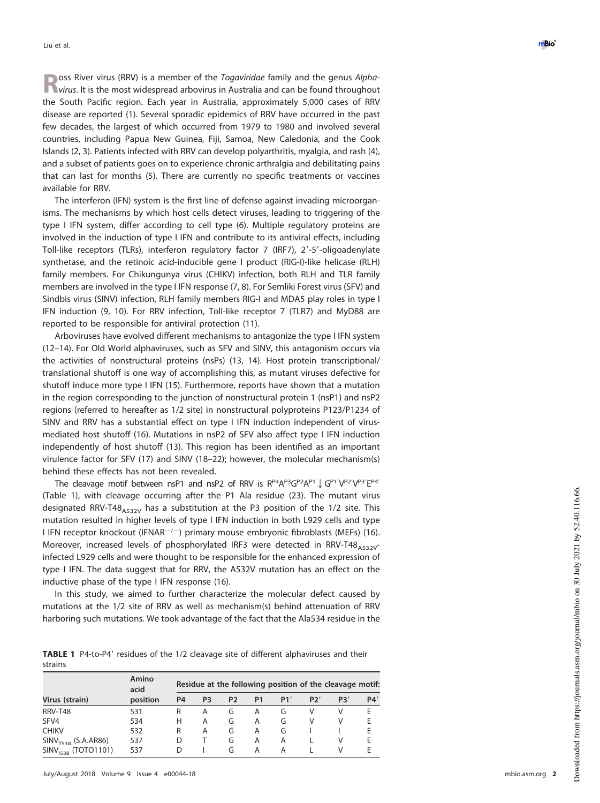**R** oss River virus (RRV) is a member of the *Togaviridae* family and the genus *Alpha*-<br> *R* virus. It is the most widespread arbovirus in Australia and can be found throughout oss River virus (RRV) is a member of the Togaviridae family and the genus Alphathe South Pacific region. Each year in Australia, approximately 5,000 cases of RRV disease are reported [\(1\)](#page-13-0). Several sporadic epidemics of RRV have occurred in the past few decades, the largest of which occurred from 1979 to 1980 and involved several countries, including Papua New Guinea, Fiji, Samoa, New Caledonia, and the Cook Islands [\(2,](#page-13-1) [3\)](#page-13-2). Patients infected with RRV can develop polyarthritis, myalgia, and rash [\(4\)](#page-13-3), and a subset of patients goes on to experience chronic arthralgia and debilitating pains that can last for months [\(5\)](#page-13-4). There are currently no specific treatments or vaccines available for RRV.

The interferon (IFN) system is the first line of defense against invading microorganisms. The mechanisms by which host cells detect viruses, leading to triggering of the type I IFN system, differ according to cell type [\(6\)](#page-13-5). Multiple regulatory proteins are involved in the induction of type I IFN and contribute to its antiviral effects, including Toll-like receptors (TLRs), interferon regulatory factor 7 (IRF7), 2'-5'-oligoadenylate synthetase, and the retinoic acid-inducible gene I product (RIG-I)-like helicase (RLH) family members. For Chikungunya virus (CHIKV) infection, both RLH and TLR family members are involved in the type I IFN response [\(7,](#page-13-6) [8\)](#page-13-7). For Semliki Forest virus (SFV) and Sindbis virus (SINV) infection, RLH family members RIG-I and MDA5 play roles in type I IFN induction [\(9,](#page-13-8) [10\)](#page-13-9). For RRV infection, Toll-like receptor 7 (TLR7) and MyD88 are reported to be responsible for antiviral protection [\(11\)](#page-13-10).

Arboviruses have evolved different mechanisms to antagonize the type I IFN system [\(12](#page-13-11)[–](#page-13-12)[14\)](#page-13-13). For Old World alphaviruses, such as SFV and SINV, this antagonism occurs via the activities of nonstructural proteins (nsPs) [\(13,](#page-13-12) [14\)](#page-13-13). Host protein transcriptional/ translational shutoff is one way of accomplishing this, as mutant viruses defective for shutoff induce more type I IFN [\(15\)](#page-13-14). Furthermore, reports have shown that a mutation in the region corresponding to the junction of nonstructural protein 1 (nsP1) and nsP2 regions (referred to hereafter as 1/2 site) in nonstructural polyproteins P123/P1234 of SINV and RRV has a substantial effect on type I IFN induction independent of virusmediated host shutoff [\(16\)](#page-13-15). Mutations in nsP2 of SFV also affect type I IFN induction independently of host shutoff [\(13\)](#page-13-12). This region has been identified as an important virulence factor for SFV [\(17\)](#page-13-16) and SINV [\(18](#page-14-0)[–](#page-14-1)[22\)](#page-14-2); however, the molecular mechanism(s) behind these effects has not been revealed.

The cleavage motif between nsP1 and nsP2 of RRV is  $R^{P4}A^{P3}G^{P2}A^{P1} \downarrow G^{P1'}V^{P2'}V^{P3'}E^{P4'}$ [\(Table 1\)](#page-1-0), with cleavage occurring after the P1 Ala residue [\(23\)](#page-14-3). The mutant virus designated RRV-T48 $_{AS32V}$  has a substitution at the P3 position of the 1/2 site. This mutation resulted in higher levels of type I IFN induction in both L929 cells and type I IFN receptor knockout (IFNAR<sup>-/-</sup>) primary mouse embryonic fibroblasts (MEFs) [\(16\)](#page-13-15). Moreover, increased levels of phosphorylated IRF3 were detected in RRV-T48<sub>A532V</sub>infected L929 cells and were thought to be responsible for the enhanced expression of type I IFN. The data suggest that for RRV, the A532V mutation has an effect on the inductive phase of the type I IFN response [\(16\)](#page-13-15).

In this study, we aimed to further characterize the molecular defect caused by mutations at the 1/2 site of RRV as well as mechanism(s) behind attenuation of RRV harboring such mutations. We took advantage of the fact that the Ala534 residue in the

<span id="page-1-0"></span>TABLE 1 P4-to-P4' residues of the 1/2 cleavage site of different alphaviruses and their strains

|                          | Amino<br>acid |                | Residue at the following position of the cleavage motif: |                |                |     |     |     |     |  |
|--------------------------|---------------|----------------|----------------------------------------------------------|----------------|----------------|-----|-----|-----|-----|--|
| Virus (strain)           | position      | P <sub>4</sub> | P <sub>3</sub>                                           | P <sub>2</sub> | P <sub>1</sub> | P1' | P2' | P3' | P4' |  |
| RRV-T48                  | 531           | R              | A                                                        | G              | A              | G   | v   | v   | F   |  |
| SFV4                     | 534           | Н              | A                                                        | G              | A              | G   | v   |     | F   |  |
| <b>CHIKV</b>             | 532           | R              | A                                                        | G              | Α              | G   |     |     | F   |  |
| $SINVTS38$ (S.A.AR86)    | 537           | D              |                                                          | G              | A              | A   |     | v   | F   |  |
| $SINV_{1538}$ (TOTO1101) | 537           | D              |                                                          | G              | A              | А   |     | v   | E   |  |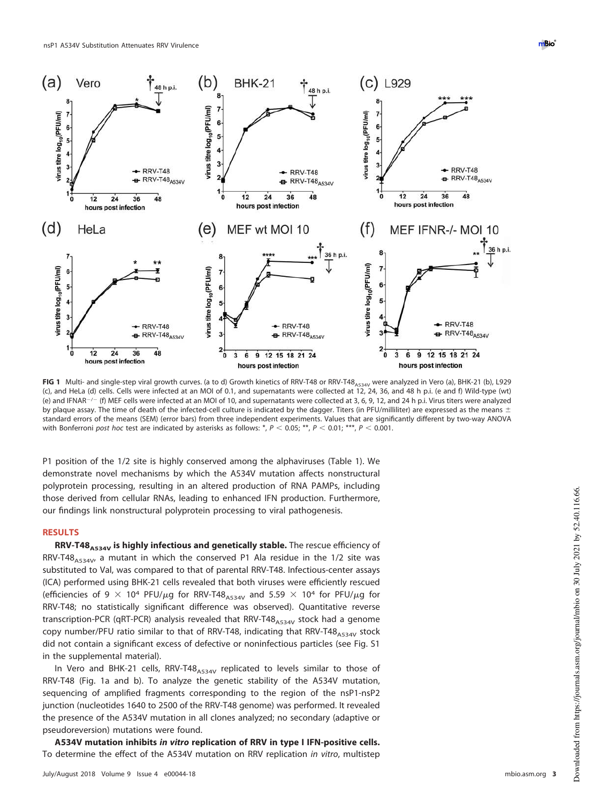

<span id="page-2-0"></span>**FIG 1** Multi- and single-step viral growth curves. (a to d) Growth kinetics of RRV-T48 or RRV-T48<sub>A534v</sub> were analyzed in Vero (a), BHK-21 (b), L929<br>(c), and HeLa (d) cells. Cells were infected at an MOI of 0.1, and super (e) and IFNAR<sup>-/-</sup> (f) MEF cells were infected at an MOI of 10, and supernatants were collected at 3, 6, 9, 12, and 24 h p.i. Virus titers were analyzed by plaque assay. The time of death of the infected-cell culture is indicated by the dagger. Titers (in PFU/milliliter) are expressed as the means  $\pm$ standard errors of the means (SEM) (error bars) from three independent experiments. Values that are significantly different by two-way ANOVA with Bonferroni post hoc test are indicated by asterisks as follows: \*,  $P < 0.05$ ; \*\*,  $P < 0.01$ ; \*\*\*,  $P < 0.001$ .

P1 position of the 1/2 site is highly conserved among the alphaviruses [\(Table 1\)](#page-1-0). We demonstrate novel mechanisms by which the A534V mutation affects nonstructural polyprotein processing, resulting in an altered production of RNA PAMPs, including those derived from cellular RNAs, leading to enhanced IFN production. Furthermore, our findings link nonstructural polyprotein processing to viral pathogenesis.

## **RESULTS**

**RRV-T48**<sup>A534V</sup> is highly infectious and genetically stable. The rescue efficiency of RRV-T48<sub>A534V</sub>, a mutant in which the conserved P1 Ala residue in the 1/2 site was substituted to Val, was compared to that of parental RRV-T48. Infectious-center assays (ICA) performed using BHK-21 cells revealed that both viruses were efficiently rescued (efficiencies of 9  $\times$  10<sup>4</sup> PFU/ $\mu$ g for RRV-T48<sub>A534V</sub> and 5.59  $\times$  10<sup>4</sup> for PFU/ $\mu$ g for RRV-T48; no statistically significant difference was observed). Quantitative reverse transcription-PCR (qRT-PCR) analysis revealed that RRV-T48 $_{AS34V}$  stock had a genome copy number/PFU ratio similar to that of RRV-T48, indicating that RRV-T48 $_{AS34V}$  stock did not contain a significant excess of defective or noninfectious particles (see Fig. S1 in the supplemental material).

In Vero and BHK-21 cells, RRV-T48 $_{AS34V}$  replicated to levels similar to those of RRV-T48 [\(Fig. 1a](#page-2-0) and [b\)](#page-2-0). To analyze the genetic stability of the A534V mutation, sequencing of amplified fragments corresponding to the region of the nsP1-nsP2 junction (nucleotides 1640 to 2500 of the RRV-T48 genome) was performed. It revealed the presence of the A534V mutation in all clones analyzed; no secondary (adaptive or pseudoreversion) mutations were found.

**A534V mutation inhibits in vitro replication of RRV in type I IFN-positive cells.** To determine the effect of the A534V mutation on RRV replication in vitro, multistep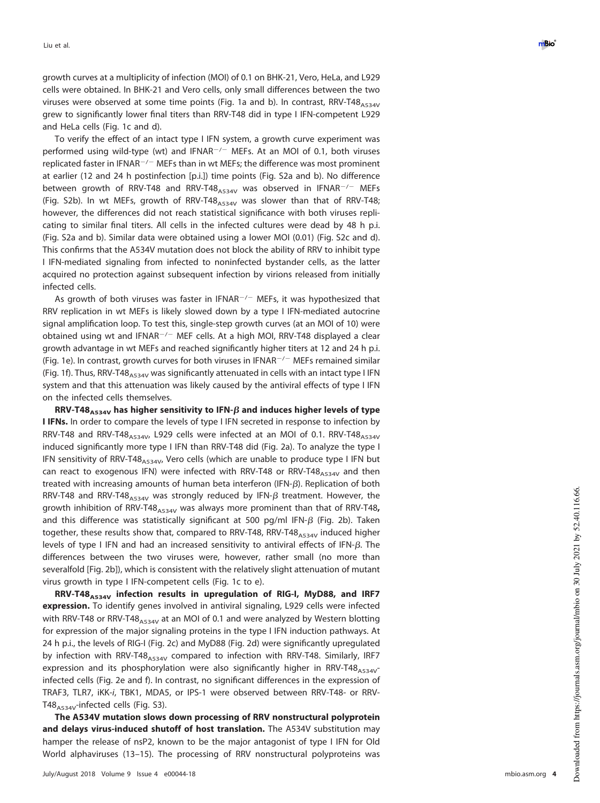growth curves at a multiplicity of infection (MOI) of 0.1 on BHK-21, Vero, HeLa, and L929 cells were obtained. In BHK-21 and Vero cells, only small differences between the two viruses were observed at some time points [\(Fig. 1a](#page-2-0) and [b\)](#page-2-0). In contrast, RRV-T48 $_{AS34V}$ grew to significantly lower final titers than RRV-T48 did in type I IFN-competent L929 and HeLa cells [\(Fig. 1c](#page-2-0) and [d\)](#page-2-0).

To verify the effect of an intact type I IFN system, a growth curve experiment was performed using wild-type (wt) and IFNAR<sup>-/-</sup> MEFs. At an MOI of 0.1, both viruses replicated faster in IFNAR<sup>-/-</sup> MEFs than in wt MEFs; the difference was most prominent at earlier (12 and 24 h postinfection [p.i.]) time points (Fig. S2a and b). No difference between growth of RRV-T48 and RRV-T48<sub>A534V</sub> was observed in IFNAR<sup>-/-</sup> MEFs (Fig. S2b). In wt MEFs, growth of RRV-T48<sub>A534V</sub> was slower than that of RRV-T48; however, the differences did not reach statistical significance with both viruses replicating to similar final titers. All cells in the infected cultures were dead by 48 h p.i. (Fig. S2a and b). Similar data were obtained using a lower MOI (0.01) (Fig. S2c and d). This confirms that the A534V mutation does not block the ability of RRV to inhibit type I IFN-mediated signaling from infected to noninfected bystander cells, as the latter acquired no protection against subsequent infection by virions released from initially infected cells.

As growth of both viruses was faster in  $IFNAR^{-/-}$  MEFs, it was hypothesized that RRV replication in wt MEFs is likely slowed down by a type I IFN-mediated autocrine signal amplification loop. To test this, single-step growth curves (at an MOI of 10) were  $\alpha$  obtained using wt and IFNAR<sup>-/-</sup> MEF cells. At a high MOI, RRV-T48 displayed a clear growth advantage in wt MEFs and reached significantly higher titers at 12 and 24 h p.i. [\(Fig. 1e\)](#page-2-0). In contrast, growth curves for both viruses in IFNAR<sup>-/-</sup> MEFs remained similar [\(Fig. 1f\)](#page-2-0). Thus, RRV-T48<sub>A534V</sub> was significantly attenuated in cells with an intact type I IFN system and that this attenuation was likely caused by the antiviral effects of type I IFN on the infected cells themselves.

**RRV-T48<sub>A534V</sub> has higher sensitivity to IFN-β and induces higher levels of type I IFNs.** In order to compare the levels of type I IFN secreted in response to infection by RRV-T48 and RRV-T48<sub>A534V</sub>, L929 cells were infected at an MOI of 0.1. RRV-T48<sub>A534V</sub> induced significantly more type I IFN than RRV-T48 did [\(Fig. 2a\)](#page-4-0). To analyze the type I IFN sensitivity of RRV-T48<sub>A534V</sub>, Vero cells (which are unable to produce type I IFN but can react to exogenous IFN) were infected with RRV-T48 or RRV-T48 $_{As34V}$  and then treated with increasing amounts of human beta interferon (IFN-β). Replication of both  $\mathsf{RRV\text{-}T48}$  and  $\mathsf{RRV\text{-}T48}_{\mathsf{A534V}}$  was strongly reduced by IFN- $\beta$  treatment. However, the growth inhibition of RRV-T48<sub>A534V</sub> was always more prominent than that of RRV-T48**,** and this difference was statistically significant at 500 pg/ml IFN- $\beta$  [\(Fig. 2b\)](#page-4-0). Taken together, these results show that, compared to RRV-T48, RRV-T48 $_{As34V}$  induced higher levels of type I IFN and had an increased sensitivity to antiviral effects of IFN- $\beta$ . The differences between the two viruses were, however, rather small (no more than severalfold [\[Fig. 2b\]](#page-4-0)), which is consistent with the relatively slight attenuation of mutant virus growth in type I IFN-competent cells [\(Fig. 1c](#page-2-0) to [e\)](#page-2-0).

**RRV-T48A534V infection results in upregulation of RIG-I, MyD88, and IRF7 expression.** To identify genes involved in antiviral signaling, L929 cells were infected with RRV-T48 or RRV-T48<sub>A534V</sub> at an MOI of 0.1 and were analyzed by Western blotting for expression of the major signaling proteins in the type I IFN induction pathways. At 24 h p.i., the levels of RIG-I [\(Fig. 2c\)](#page-4-0) and MyD88 [\(Fig. 2d\)](#page-4-0) were significantly upregulated by infection with RRV-T48<sub>A534V</sub> compared to infection with RRV-T48. Similarly, IRF7 expression and its phosphorylation were also significantly higher in RRV-T48<sub>A534V</sub>infected cells [\(Fig. 2e](#page-4-0) and [f\)](#page-4-0). In contrast, no significant differences in the expression of TRAF3, TLR7, iKK-i, TBK1, MDA5, or IPS-1 were observed between RRV-T48- or RRV-T48 $_{A534V}$ -infected cells (Fig. S3).

**The A534V mutation slows down processing of RRV nonstructural polyprotein and delays virus-induced shutoff of host translation.** The A534V substitution may hamper the release of nsP2, known to be the major antagonist of type I IFN for Old World alphaviruses [\(13](#page-13-12)[–](#page-13-13)[15\)](#page-13-14). The processing of RRV nonstructural polyproteins was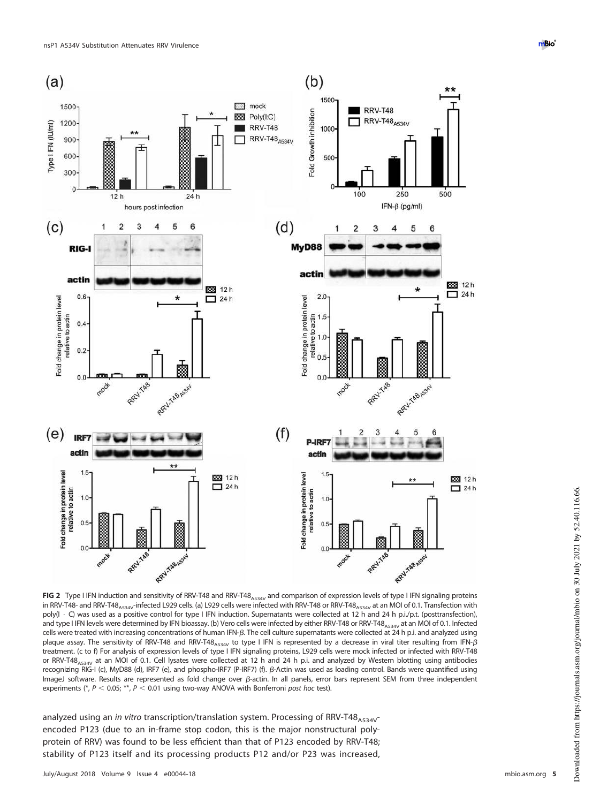

<span id="page-4-0"></span>FIG 2 Type I IFN induction and sensitivity of RRV-T48 and RRV-T48<sub>A534V</sub> and comparison of expression levels of type I IFN signaling proteins in RRV-T48- and RRV-T48<sub>A534V</sub>-infected L929 cells. (a) L929 cells were infected with RRV-T48 or RRV-T48<sub>A534V</sub> at an MOI of 0.1. Transfection with poly(I · C) was used as a positive control for type I IFN induction. Supernatants were collected at 12 h and 24 h p.i./p.t. (posttransfection), and type I IFN levels were determined by IFN bioassay. (b) Vero cells were infected by either RRV-T48 or RRV-T48 A534V at an MOI of 0.1. Infected cells were treated with increasing concentrations of human IFN- $\beta$ . The cell culture supernatants were collected at 24 h p.i. and analyzed using plaque assay. The sensitivity of RRV-T48 and RRV-T48<sub>A534V</sub> to type I IFN is represented by a decrease in viral titer resulting from IFN- $\beta$ treatment. (c to f) For analysis of expression levels of type I IFN signaling proteins, L929 cells were mock infected or infected with RRV-T48 or RRV-T48<sub>A534V</sub> at an MOI of 0.1. Cell lysates were collected at 12 h and 24 h p.i. and analyzed by Western blotting using antibodies recognizing RIG-I (c), MyD88 (d), IRF7 (e), and phospho-IRF7 (P-IRF7) (f).  $\beta$ -Actin was used as loading control. Bands were quantified using ImageJ software. Results are represented as fold change over  $\beta$ -actin. In all panels, error bars represent SEM from three independent experiments (\*,  $P < 0.05$ ; \*\*,  $P < 0.01$  using two-way ANOVA with Bonferroni post hoc test).

analyzed using an in vitro transcription/translation system. Processing of RRV-T48<sub>A534V</sub>encoded P123 (due to an in-frame stop codon, this is the major nonstructural polyprotein of RRV) was found to be less efficient than that of P123 encoded by RRV-T48; stability of P123 itself and its processing products P12 and/or P23 was increased,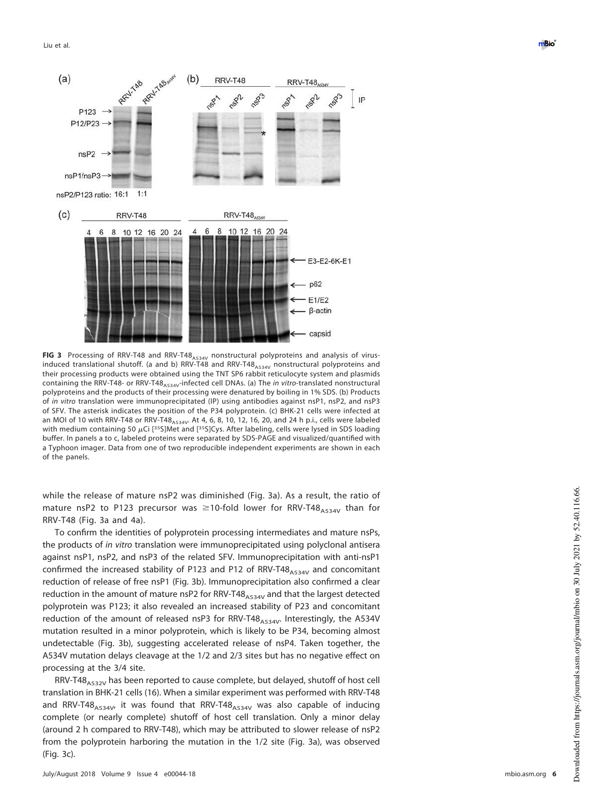Liu et al. ®



<span id="page-5-0"></span>FIG 3 Processing of RRV-T48 and RRV-T48<sub>A534V</sub> nonstructural polyproteins and analysis of virusinduced translational shutoff. (a and b) RRV-T48 and RRV-T48<sub>A534V</sub> nonstructural polyproteins and their processing products were obtained using the TNT SP6 rabbit reticulocyte system and plasmids containing the RRV-T48- or RRV-T48<sub>A534V</sub>-infected cell DNAs. (a) The in vitro-translated nonstructural polyproteins and the products of their processing were denatured by boiling in 1% SDS. (b) Products of in vitro translation were immunoprecipitated (IP) using antibodies against nsP1, nsP2, and nsP3 of SFV. The asterisk indicates the position of the P34 polyprotein. (c) BHK-21 cells were infected at an MOI of 10 with RRV-T48 or RRV-T48<sub>A534V</sub>. At 4, 6, 8, 10, 12, 16, 20, and 24 h p.i., cells were labeled with medium containing 50  $\mu$ Ci [<sup>35</sup>S]Met and [<sup>35</sup>S]Cys. After labeling, cells were lysed in SDS loading buffer. In panels a to c, labeled proteins were separated by SDS-PAGE and visualized/quantified with a Typhoon imager. Data from one of two reproducible independent experiments are shown in each of the panels.

while the release of mature nsP2 was diminished [\(Fig. 3a\)](#page-5-0). As a result, the ratio of mature nsP2 to P123 precursor was  $\geq$ 10-fold lower for RRV-T48<sub>A534V</sub> than for RRV-T48 [\(Fig. 3a](#page-5-0) and [4a\)](#page-6-0).

To confirm the identities of polyprotein processing intermediates and mature nsPs, the products of in vitro translation were immunoprecipitated using polyclonal antisera against nsP1, nsP2, and nsP3 of the related SFV. Immunoprecipitation with anti-nsP1 confirmed the increased stability of P123 and P12 of RRV-T48 $_{AS34V}$  and concomitant reduction of release of free nsP1 [\(Fig. 3b\)](#page-5-0). Immunoprecipitation also confirmed a clear reduction in the amount of mature nsP2 for RRV-T48 $_{AS34V}$  and that the largest detected polyprotein was P123; it also revealed an increased stability of P23 and concomitant reduction of the amount of released nsP3 for RRV-T48 $_{A534V}$ . Interestingly, the A534V mutation resulted in a minor polyprotein, which is likely to be P34, becoming almost undetectable [\(Fig. 3b\)](#page-5-0), suggesting accelerated release of nsP4. Taken together, the A534V mutation delays cleavage at the 1/2 and 2/3 sites but has no negative effect on processing at the 3/4 site.

RRV-T48 $_{A532V}$  has been reported to cause complete, but delayed, shutoff of host cell translation in BHK-21 cells [\(16\)](#page-13-15). When a similar experiment was performed with RRV-T48 and RRV-T48<sub>A534V</sub>, it was found that RRV-T48<sub>A534V</sub> was also capable of inducing complete (or nearly complete) shutoff of host cell translation. Only a minor delay (around 2 h compared to RRV-T48), which may be attributed to slower release of nsP2 from the polyprotein harboring the mutation in the 1/2 site [\(Fig. 3a\)](#page-5-0), was observed [\(Fig. 3c\)](#page-5-0).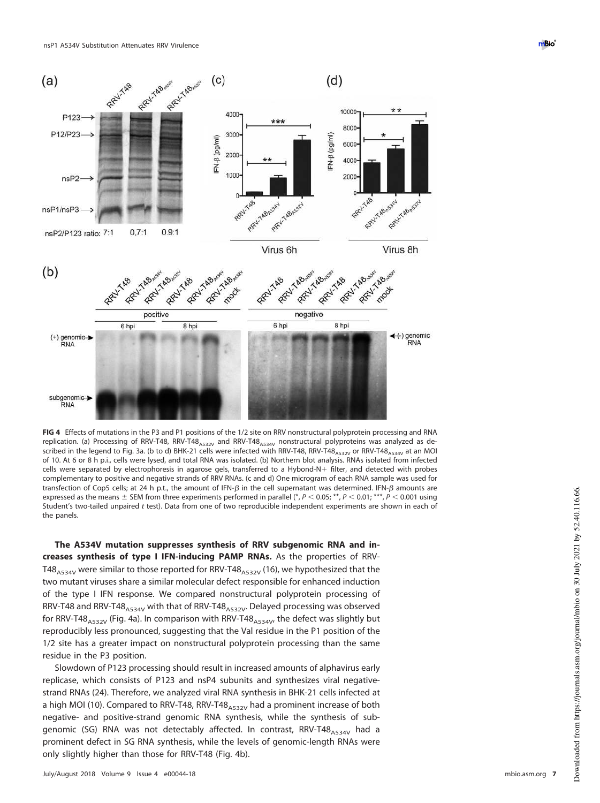

<span id="page-6-0"></span>**FIG 4** Effects of mutations in the P3 and P1 positions of the 1/2 site on RRV nonstructural polyprotein processing and RNA replication. (a) Processing of RRV-T48, RRV-T48<sub>A532V</sub> and RRV-T48<sub>A534V</sub> nonstructural polyproteins was analyzed as de-scribed in the legend to [Fig. 3a.](#page-5-0) (b to d) BHK-21 cells were infected with RRV-T48, RRV-T48<sub>A532V</sub> or RRV-T48<sub>A534V</sub> at an MOI of 10. At 6 or 8 h p.i., cells were lysed, and total RNA was isolated. (b) Northern blot analysis. RNAs isolated from infected cells were separated by electrophoresis in agarose gels, transferred to a Hybond-N+ filter, and detected with probes complementary to positive and negative strands of RRV RNAs. (c and d) One microgram of each RNA sample was used for transfection of Cop5 cells; at 24 h p.t., the amount of IFN- $\beta$  in the cell supernatant was determined. IFN- $\beta$  amounts are expressed as the means  $\pm$  SEM from three experiments performed in parallel (\*, P < 0.05; \*\*, P < 0.01; \*\*\*, P < 0.001 using Student's two-tailed unpaired t test). Data from one of two reproducible independent experiments are shown in each of the panels.

**The A534V mutation suppresses synthesis of RRV subgenomic RNA and increases synthesis of type I IFN-inducing PAMP RNAs.** As the properties of RRV-T48<sub>A534V</sub> were similar to those reported for RRV-T48<sub>A532V</sub> [\(16\)](#page-13-15), we hypothesized that the two mutant viruses share a similar molecular defect responsible for enhanced induction of the type I IFN response. We compared nonstructural polyprotein processing of RRV-T48 and RRV-T48<sub>A534V</sub> with that of RRV-T48<sub>A532V</sub>. Delayed processing was observed for RRV-T48<sub>A532V</sub> [\(Fig. 4a\)](#page-6-0). In comparison with RRV-T48<sub>A534V</sub>, the defect was slightly but reproducibly less pronounced, suggesting that the Val residue in the P1 position of the 1/2 site has a greater impact on nonstructural polyprotein processing than the same residue in the P3 position.

Slowdown of P123 processing should result in increased amounts of alphavirus early replicase, which consists of P123 and nsP4 subunits and synthesizes viral negativestrand RNAs [\(24\)](#page-14-4). Therefore, we analyzed viral RNA synthesis in BHK-21 cells infected at a high MOI [\(10\)](#page-13-9). Compared to RRV-T48, RRV-T48<sub>A532V</sub> had a prominent increase of both negative- and positive-strand genomic RNA synthesis, while the synthesis of subgenomic (SG) RNA was not detectably affected. In contrast, RRV-T48 $_{AS34V}$  had a prominent defect in SG RNA synthesis, while the levels of genomic-length RNAs were only slightly higher than those for RRV-T48 [\(Fig. 4b\)](#page-6-0).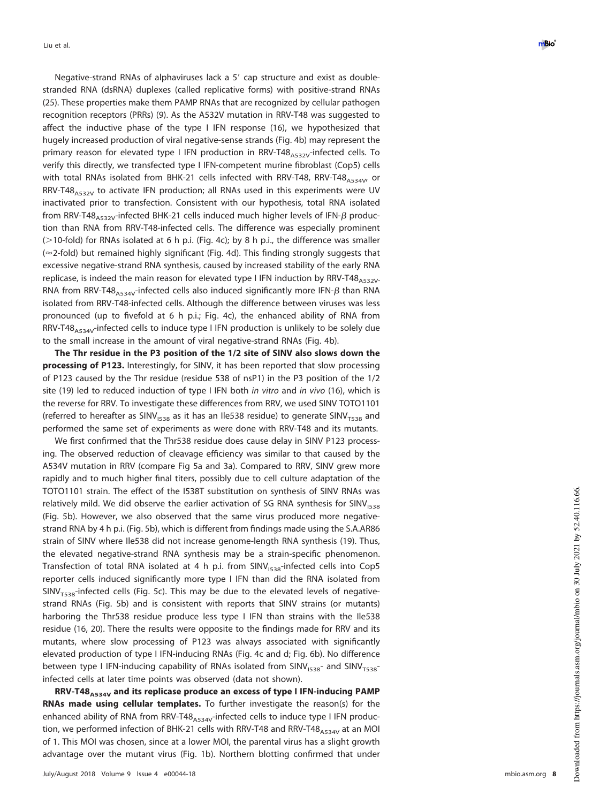Negative-strand RNAs of alphaviruses lack a 5' cap structure and exist as doublestranded RNA (dsRNA) duplexes (called replicative forms) with positive-strand RNAs [\(25\)](#page-14-5). These properties make them PAMP RNAs that are recognized by cellular pathogen recognition receptors (PRRs) [\(9\)](#page-13-8). As the A532V mutation in RRV-T48 was suggested to affect the inductive phase of the type I IFN response [\(16\)](#page-13-15), we hypothesized that hugely increased production of viral negative-sense strands [\(Fig. 4b\)](#page-6-0) may represent the primary reason for elevated type I IFN production in RRV-T48 $_{AS32V}$ -infected cells. To verify this directly, we transfected type I IFN-competent murine fibroblast (Cop5) cells with total RNAs isolated from BHK-21 cells infected with RRV-T48, RRV-T48 $_{As34V}$  or RRV-T48 $_{A532V}$  to activate IFN production; all RNAs used in this experiments were UV inactivated prior to transfection. Consistent with our hypothesis, total RNA isolated from RRV-T48 $_{\rm A532V}$ -infected BHK-21 cells induced much higher levels of IFN- $\beta$  production than RNA from RRV-T48-infected cells. The difference was especially prominent ( $>$ 10-fold) for RNAs isolated at 6 h p.i. [\(Fig. 4c\)](#page-6-0); by 8 h p.i., the difference was smaller  $(\approx 2$ -fold) but remained highly significant [\(Fig. 4d\)](#page-6-0). This finding strongly suggests that excessive negative-strand RNA synthesis, caused by increased stability of the early RNA replicase, is indeed the main reason for elevated type I IFN induction by RRV-T48<sub>A532V</sub>. RNA from RRV-T48 $_{\rm A534V}$ -infected cells also induced significantly more IFN- $\beta$  than RNA isolated from RRV-T48-infected cells. Although the difference between viruses was less pronounced (up to fivefold at 6 h p.i.; [Fig. 4c\)](#page-6-0), the enhanced ability of RNA from RRV-T48 $_{AS34V}$ -infected cells to induce type I IFN production is unlikely to be solely due to the small increase in the amount of viral negative-strand RNAs [\(Fig. 4b\)](#page-6-0).

**The Thr residue in the P3 position of the 1/2 site of SINV also slows down the processing of P123.** Interestingly, for SINV, it has been reported that slow processing of P123 caused by the Thr residue (residue 538 of nsP1) in the P3 position of the 1/2 site [\(19\)](#page-14-6) led to reduced induction of type I IFN both in vitro and in vivo [\(16\)](#page-13-15), which is the reverse for RRV. To investigate these differences from RRV, we used SINV TOTO1101 (referred to hereafter as SINV $_{1538}$  as it has an Ile538 residue) to generate SINV $_{7538}$  and performed the same set of experiments as were done with RRV-T48 and its mutants.

We first confirmed that the Thr538 residue does cause delay in SINV P123 processing. The observed reduction of cleavage efficiency was similar to that caused by the A534V mutation in RRV (compare [Fig 5a](#page-8-0) and [3a\)](#page-5-0). Compared to RRV, SINV grew more rapidly and to much higher final titers, possibly due to cell culture adaptation of the TOTO1101 strain. The effect of the I538T substitution on synthesis of SINV RNAs was relatively mild. We did observe the earlier activation of SG RNA synthesis for SINV $_{1538}$ [\(Fig. 5b\)](#page-8-0). However, we also observed that the same virus produced more negativestrand RNA by 4 h p.i. [\(Fig. 5b\)](#page-8-0), which is different from findings made using the S.A.AR86 strain of SINV where Ile538 did not increase genome-length RNA synthesis [\(19\)](#page-14-6). Thus, the elevated negative-strand RNA synthesis may be a strain-specific phenomenon. Transfection of total RNA isolated at 4 h p.i. from SINV $_{1538}$ -infected cells into Cop5 reporter cells induced significantly more type I IFN than did the RNA isolated from  $SINV_{T538}$ -infected cells [\(Fig. 5c\)](#page-8-0). This may be due to the elevated levels of negativestrand RNAs [\(Fig. 5b\)](#page-8-0) and is consistent with reports that SINV strains (or mutants) harboring the Thr538 residue produce less type I IFN than strains with the Ile538 residue [\(16,](#page-13-15) [20\)](#page-14-7). There the results were opposite to the findings made for RRV and its mutants, where slow processing of P123 was always associated with significantly elevated production of type I IFN-inducing RNAs [\(Fig. 4c](#page-6-0) and [d;](#page-6-0) [Fig. 6b\)](#page-9-0). No difference between type I IFN-inducing capability of RNAs isolated from  $\textsf{SINV}_\textsf{1538}^{-}$  and  $\textsf{SINV}_\textsf{1538}^{-}$ infected cells at later time points was observed (data not shown).

**RRV-T48A534V and its replicase produce an excess of type I IFN-inducing PAMP RNAs made using cellular templates.** To further investigate the reason(s) for the enhanced ability of RNA from RRV-T48 $_{As34V}$ -infected cells to induce type I IFN production, we performed infection of BHK-21 cells with RRV-T48 and RRV-T48 $_{AS34V}$  at an MOI of 1. This MOI was chosen, since at a lower MOI, the parental virus has a slight growth advantage over the mutant virus [\(Fig. 1b\)](#page-2-0). Northern blotting confirmed that under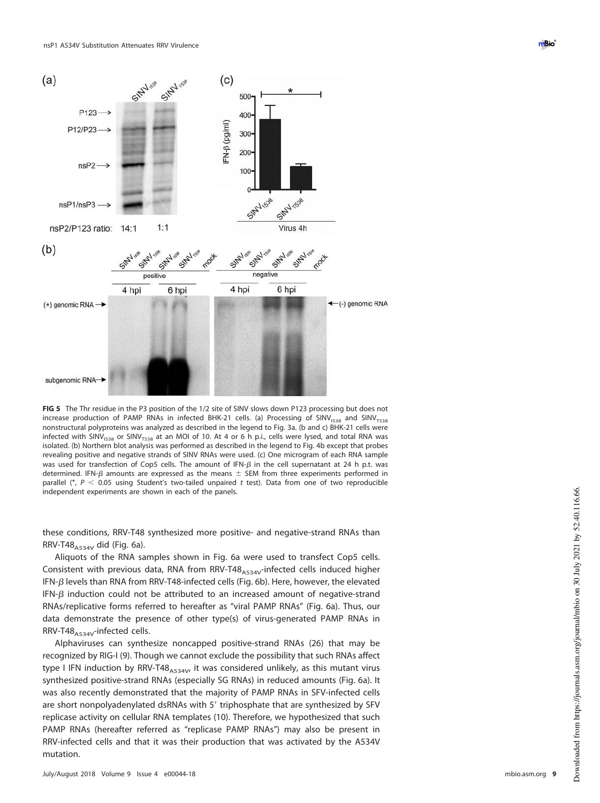

<span id="page-8-0"></span>**FIG 5** The Thr residue in the P3 position of the 1/2 site of SINV slows down P123 processing but does not increase production of PAMP RNAs in infected BHK-21 cells. (a) Processing of SINV $_{1538}$  and SINV $_{7538}$ nonstructural polyproteins was analyzed as described in the legend to [Fig. 3a.](#page-5-0) (b and c) BHK-21 cells were infected with SINV<sub>I538</sub> or SINV<sub>T538</sub> at an MOI of 10. At 4 or 6 h p.i., cells were lysed, and total RNA was isolated. (b) Northern blot analysis was performed as described in the legend to [Fig. 4b](#page-6-0) except that probes revealing positive and negative strands of SINV RNAs were used. (c) One microgram of each RNA sample was used for transfection of Cop5 cells. The amount of  $IFN-\beta$  in the cell supernatant at 24 h p.t. was determined. IFN- $\beta$  amounts are expressed as the means  $\pm$  SEM from three experiments performed in parallel (\*,  $P < 0.05$  using Student's two-tailed unpaired t test). Data from one of two reproducible independent experiments are shown in each of the panels.

these conditions, RRV-T48 synthesized more positive- and negative-strand RNAs than RRV-T48 $_{A534V}$  did [\(Fig. 6a\)](#page-9-0).

Aliquots of the RNA samples shown in [Fig. 6a](#page-9-0) were used to transfect Cop5 cells. Consistent with previous data, RNA from RRV-T48 $_{As34V}$ -infected cells induced higher IFN- $\beta$  levels than RNA from RRV-T48-infected cells [\(Fig. 6b\)](#page-9-0). Here, however, the elevated IFN- $\beta$  induction could not be attributed to an increased amount of negative-strand RNAs/replicative forms referred to hereafter as "viral PAMP RNAs" [\(Fig. 6a\)](#page-9-0). Thus, our data demonstrate the presence of other type(s) of virus-generated PAMP RNAs in RRV-T48 $A_{A534V}$ -infected cells.

Alphaviruses can synthesize noncapped positive-strand RNAs [\(26\)](#page-14-8) that may be recognized by RIG-I [\(9\)](#page-13-8). Though we cannot exclude the possibility that such RNAs affect type I IFN induction by RRV-T48 $_{A534V}$ , it was considered unlikely, as this mutant virus synthesized positive-strand RNAs (especially SG RNAs) in reduced amounts [\(Fig. 6a\)](#page-9-0). It was also recently demonstrated that the majority of PAMP RNAs in SFV-infected cells are short nonpolyadenylated dsRNAs with 5' triphosphate that are synthesized by SFV replicase activity on cellular RNA templates [\(10\)](#page-13-9). Therefore, we hypothesized that such PAMP RNAs (hereafter referred as "replicase PAMP RNAs") may also be present in RRV-infected cells and that it was their production that was activated by the A534V mutation.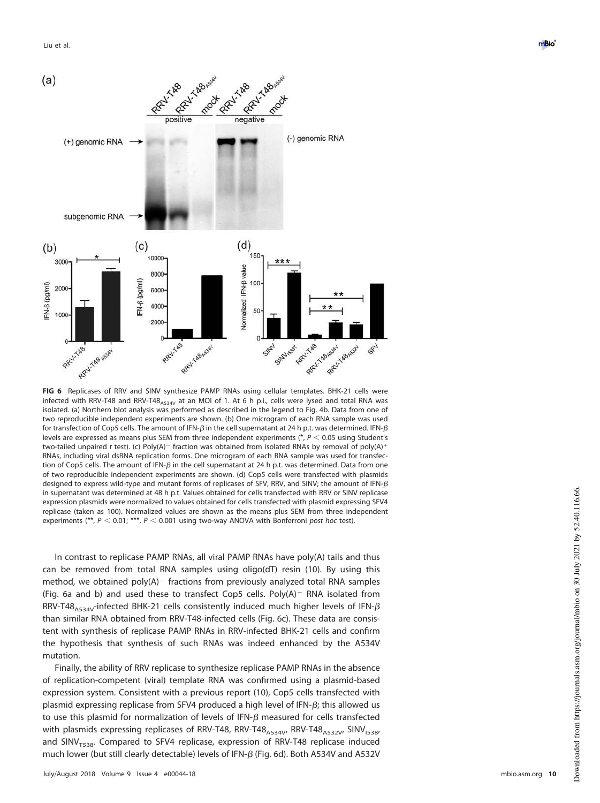

<span id="page-9-0"></span>**FIG 6** Replicases of RRV and SINV synthesize PAMP RNAs using cellular templates. BHK-21 cells were infected with RRV-T48 and RRV-T48<sub>A534V</sub> at an MOI of 1. At 6 h p.i., cells were lysed and total RNA was isolated. (a) Northern blot analysis was performed as described in the legend to [Fig. 4b.](#page-6-0) Data from one of two reproducible independent experiments are shown. (b) One microgram of each RNA sample was used for transfection of Cop5 cells. The amount of IFN- $\beta$  in the cell supernatant at 24 h p.t. was determined. IFN- $\beta$ levels are expressed as means plus SEM from three independent experiments (\*,  $P < 0.05$  using Student's two-tailed unpaired t test). (c) Poly(A)<sup>-</sup> fraction was obtained from isolated RNAs by removal of poly(A)<sup>+</sup> RNAs, including viral dsRNA replication forms. One microgram of each RNA sample was used for transfection of Cop5 cells. The amount of IFN- $\beta$  in the cell supernatant at 24 h p.t. was determined. Data from one of two reproducible independent experiments are shown. (d) Cop5 cells were transfected with plasmids designed to express wild-type and mutant forms of replicases of SFV, RRV, and SINV; the amount of IFN- $\beta$ in supernatant was determined at 48 h p.t. Values obtained for cells transfected with RRV or SINV replicase expression plasmids were normalized to values obtained for cells transfected with plasmid expressing SFV4 replicase (taken as 100). Normalized values are shown as the means plus SEM from three independent experiments (\*\*,  $P < 0.01$ ; \*\*\*,  $P < 0.001$  using two-way ANOVA with Bonferroni post hoc test).

In contrast to replicase PAMP RNAs, all viral PAMP RNAs have poly(A) tails and thus can be removed from total RNA samples using oligo(dT) resin [\(10\)](#page-13-9). By using this method, we obtained  $poly(A)^-$  fractions from previously analyzed total RNA samples [\(Fig. 6a](#page-9-0) and [b\)](#page-9-0) and used these to transfect Cop5 cells.  $Poly(A)^-$  RNA isolated from RRV-T48<sub>A534V</sub>-infected BHK-21 cells consistently induced much higher levels of IFN- $\beta$ than similar RNA obtained from RRV-T48-infected cells [\(Fig. 6c\)](#page-9-0). These data are consistent with synthesis of replicase PAMP RNAs in RRV-infected BHK-21 cells and confirm the hypothesis that synthesis of such RNAs was indeed enhanced by the A534V mutation.

Finally, the ability of RRV replicase to synthesize replicase PAMP RNAs in the absence of replication-competent (viral) template RNA was confirmed using a plasmid-based expression system. Consistent with a previous report [\(10\)](#page-13-9), Cop5 cells transfected with plasmid expressing replicase from SFV4 produced a high level of IFN- $\beta$ ; this allowed us to use this plasmid for normalization of levels of IFN- $\beta$  measured for cells transfected with plasmids expressing replicases of RRV-T48, RRV-T48 $_{AS34V}$ , RRV-T48 $_{AS32V}$ , SINV $_{IS38V}$ and SINV $_{7538}$ . Compared to SFV4 replicase, expression of RRV-T48 replicase induced much lower (but still clearly detectable) levels of IFN- $\beta$  [\(Fig. 6d\)](#page-9-0). Both A534V and A532V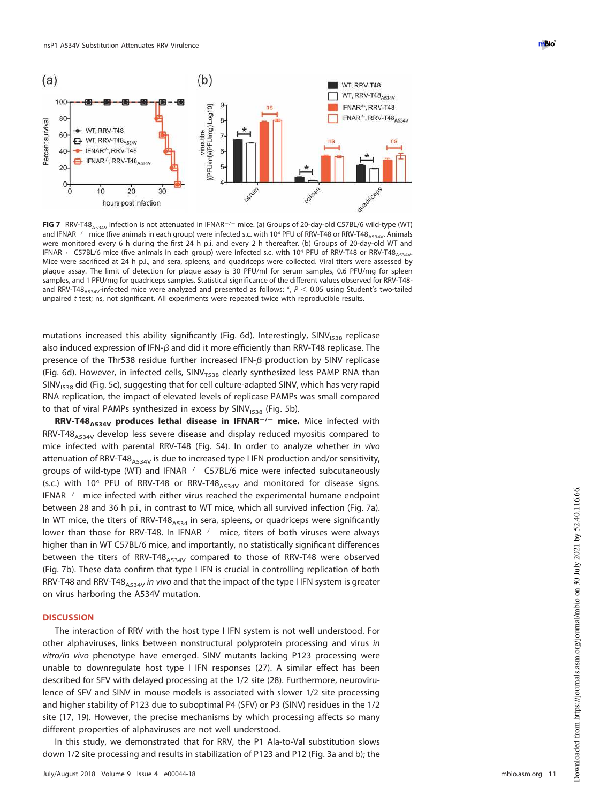

<span id="page-10-0"></span>FIG 7 RRV-T48<sub>A534V</sub> infection is not attenuated in IFNAR<sup>-/-</sup> mice. (a) Groups of 20-day-old C57BL/6 wild-type (WT) and IFNAR<sup>-/-</sup> mice (five animals in each group) were infected s.c. with 10<sup>4</sup> PFU of RRV-T48 or RRV-T48<sub>A534V</sub>. Animals were monitored every 6 h during the first 24 h p.i. and every 2 h thereafter. (b) Groups of 20-day-old WT and IFNAR-/- C57BL/6 mice (five animals in each group) were infected s.c. with 10<sup>4</sup> PFU of RRV-T48 or RRV-T48 $_{\sf AS34V}$ Mice were sacrificed at 24 h p.i., and sera, spleens, and quadriceps were collected. Viral titers were assessed by plaque assay. The limit of detection for plaque assay is 30 PFU/ml for serum samples, 0.6 PFU/mg for spleen samples, and 1 PFU/mg for quadriceps samples. Statistical significance of the different values observed for RRV-T48 and RRV-T48<sub>A534V</sub>-infected mice were analyzed and presented as follows: \*,  $P < 0.05$  using Student's two-tailed unpaired t test; ns, not significant. All experiments were repeated twice with reproducible results.

mutations increased this ability significantly [\(Fig. 6d\)](#page-9-0). Interestingly,  $\text{SINV}_{1538}$  replicase also induced expression of IFN- $\beta$  and did it more efficiently than RRV-T48 replicase. The presence of the Thr538 residue further increased IFN- $\beta$  production by SINV replicase [\(Fig. 6d\)](#page-9-0). However, in infected cells, SINV $_{T538}$  clearly synthesized less PAMP RNA than  $SINV_{1538}$  did [\(Fig. 5c\)](#page-8-0), suggesting that for cell culture-adapted SINV, which has very rapid RNA replication, the impact of elevated levels of replicase PAMPs was small compared to that of viral PAMPs synthesized in excess by  $SINV_{1538}$  [\(Fig. 5b\)](#page-8-0).

**RRV-T48**<sup>A534V</sup> **produces lethal disease in IFNAR<sup>-/-</sup> mice.** Mice infected with RRV-T48 $_{A534V}$  develop less severe disease and display reduced myositis compared to mice infected with parental RRV-T48 (Fig. S4). In order to analyze whether in vivo attenuation of RRV-T48<sub>A534V</sub> is due to increased type I IFN production and/or sensitivity, groups of wild-type (WT) and IFNAR<sup>-/-</sup> C57BL/6 mice were infected subcutaneously (s.c.) with 10<sup>4</sup> PFU of RRV-T48 or RRV-T48<sub>A534V</sub> and monitored for disease signs.  $IFNAR^{-/-}$  mice infected with either virus reached the experimental humane endpoint between 28 and 36 h p.i., in contrast to WT mice, which all survived infection [\(Fig. 7a\)](#page-10-0). In WT mice, the titers of RRV-T48 $_{AS34}$  in sera, spleens, or quadriceps were significantly lower than those for RRV-T48. In IFNAR<sup>-/-</sup> mice, titers of both viruses were always higher than in WT C57BL/6 mice, and importantly, no statistically significant differences between the titers of RRV-T48<sub>A534V</sub> compared to those of RRV-T48 were observed [\(Fig. 7b\)](#page-10-0). These data confirm that type I IFN is crucial in controlling replication of both RRV-T48 and RRV-T48<sub>A534V</sub> in vivo and that the impact of the type I IFN system is greater on virus harboring the A534V mutation.

## **DISCUSSION**

The interaction of RRV with the host type I IFN system is not well understood. For other alphaviruses, links between nonstructural polyprotein processing and virus in vitro/in vivo phenotype have emerged. SINV mutants lacking P123 processing were unable to downregulate host type I IFN responses [\(27\)](#page-14-9). A similar effect has been described for SFV with delayed processing at the 1/2 site [\(28\)](#page-14-10). Furthermore, neurovirulence of SFV and SINV in mouse models is associated with slower 1/2 site processing and higher stability of P123 due to suboptimal P4 (SFV) or P3 (SINV) residues in the 1/2 site [\(17,](#page-13-16) [19\)](#page-14-6). However, the precise mechanisms by which processing affects so many different properties of alphaviruses are not well understood.

In this study, we demonstrated that for RRV, the P1 Ala-to-Val substitution slows down 1/2 site processing and results in stabilization of P123 and P12 [\(Fig. 3a](#page-5-0) and [b\)](#page-5-0); the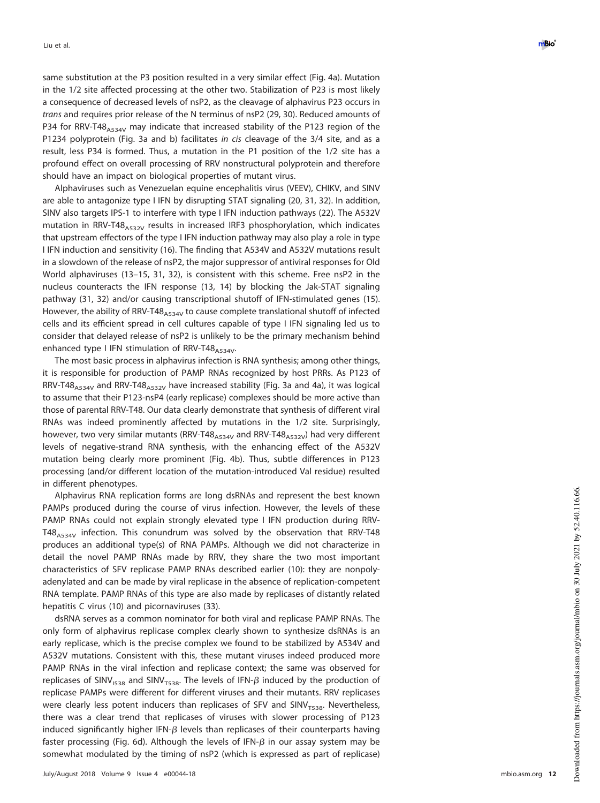same substitution at the P3 position resulted in a very similar effect [\(Fig. 4a\)](#page-6-0). Mutation in the 1/2 site affected processing at the other two. Stabilization of P23 is most likely a consequence of decreased levels of nsP2, as the cleavage of alphavirus P23 occurs in trans and requires prior release of the N terminus of nsP2 [\(29,](#page-14-11) [30\)](#page-14-12). Reduced amounts of P34 for RRV-T48<sub>A534V</sub> may indicate that increased stability of the P123 region of the P1234 polyprotein [\(Fig. 3a](#page-5-0) and [b\)](#page-5-0) facilitates in cis cleavage of the 3/4 site, and as a result, less P34 is formed. Thus, a mutation in the P1 position of the 1/2 site has a profound effect on overall processing of RRV nonstructural polyprotein and therefore should have an impact on biological properties of mutant virus.

Alphaviruses such as Venezuelan equine encephalitis virus (VEEV), CHIKV, and SINV are able to antagonize type I IFN by disrupting STAT signaling [\(20,](#page-14-7) [31,](#page-14-13) [32\)](#page-14-14). In addition, SINV also targets IPS-1 to interfere with type I IFN induction pathways [\(22\)](#page-14-2). The A532V mutation in RRV-T48 $_{As32V}$  results in increased IRF3 phosphorylation, which indicates that upstream effectors of the type I IFN induction pathway may also play a role in type I IFN induction and sensitivity [\(16\)](#page-13-15). The finding that A534V and A532V mutations result in a slowdown of the release of nsP2, the major suppressor of antiviral responses for Old World alphaviruses [\(13](#page-13-12)[–](#page-13-13)[15,](#page-13-14) [31,](#page-14-13) [32\)](#page-14-14), is consistent with this scheme. Free nsP2 in the nucleus counteracts the IFN response [\(13,](#page-13-12) [14\)](#page-13-13) by blocking the Jak-STAT signaling pathway [\(31,](#page-14-13) [32\)](#page-14-14) and/or causing transcriptional shutoff of IFN-stimulated genes [\(15\)](#page-13-14). However, the ability of RRV-T48 $_{As34V}$  to cause complete translational shutoff of infected cells and its efficient spread in cell cultures capable of type I IFN signaling led us to consider that delayed release of nsP2 is unlikely to be the primary mechanism behind enhanced type I IFN stimulation of RRV-T48<sub>A534V</sub>.

The most basic process in alphavirus infection is RNA synthesis; among other things, it is responsible for production of PAMP RNAs recognized by host PRRs. As P123 of RRV-T48<sub>A534V</sub> and RRV-T48<sub>A532V</sub> have increased stability [\(Fig. 3a](#page-5-0) and [4a\)](#page-6-0), it was logical to assume that their P123-nsP4 (early replicase) complexes should be more active than those of parental RRV-T48. Our data clearly demonstrate that synthesis of different viral RNAs was indeed prominently affected by mutations in the 1/2 site. Surprisingly, however, two very similar mutants (RRV-T48 $_{As34V}$  and RRV-T48 $_{As32V}$ ) had very different levels of negative-strand RNA synthesis, with the enhancing effect of the A532V mutation being clearly more prominent [\(Fig. 4b\)](#page-6-0). Thus, subtle differences in P123 processing (and/or different location of the mutation-introduced Val residue) resulted in different phenotypes.

Alphavirus RNA replication forms are long dsRNAs and represent the best known PAMPs produced during the course of virus infection. However, the levels of these PAMP RNAs could not explain strongly elevated type I IFN production during RRV-T48<sub>A534V</sub> infection. This conundrum was solved by the observation that RRV-T48 produces an additional type(s) of RNA PAMPs. Although we did not characterize in detail the novel PAMP RNAs made by RRV, they share the two most important characteristics of SFV replicase PAMP RNAs described earlier [\(10\)](#page-13-9): they are nonpolyadenylated and can be made by viral replicase in the absence of replication-competent RNA template. PAMP RNAs of this type are also made by replicases of distantly related hepatitis C virus [\(10\)](#page-13-9) and picornaviruses [\(33\)](#page-14-15).

dsRNA serves as a common nominator for both viral and replicase PAMP RNAs. The only form of alphavirus replicase complex clearly shown to synthesize dsRNAs is an early replicase, which is the precise complex we found to be stabilized by A534V and A532V mutations. Consistent with this, these mutant viruses indeed produced more PAMP RNAs in the viral infection and replicase context; the same was observed for replicases of SINV<sub>1538</sub> and SINV<sub>T538</sub>. The levels of IFN- $\beta$  induced by the production of replicase PAMPs were different for different viruses and their mutants. RRV replicases were clearly less potent inducers than replicases of SFV and SINV $_{T538}$ . Nevertheless, there was a clear trend that replicases of viruses with slower processing of P123 induced significantly higher IFN- $\beta$  levels than replicases of their counterparts having faster processing [\(Fig. 6d\)](#page-9-0). Although the levels of IFN- $\beta$  in our assay system may be somewhat modulated by the timing of nsP2 (which is expressed as part of replicase)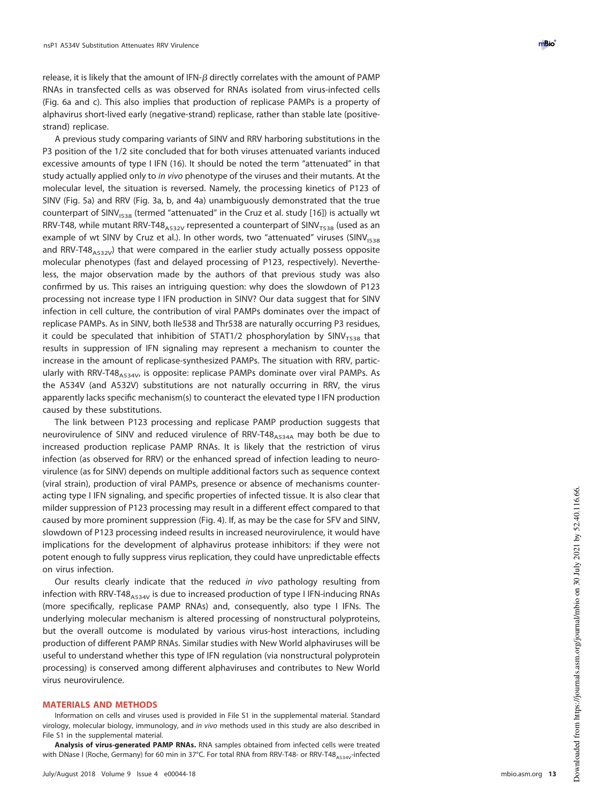release, it is likely that the amount of IFN- $\beta$  directly correlates with the amount of PAMP RNAs in transfected cells as was observed for RNAs isolated from virus-infected cells [\(Fig. 6a](#page-9-0) and [c\)](#page-9-0). This also implies that production of replicase PAMPs is a property of alphavirus short-lived early (negative-strand) replicase, rather than stable late (positivestrand) replicase.

A previous study comparing variants of SINV and RRV harboring substitutions in the P3 position of the 1/2 site concluded that for both viruses attenuated variants induced excessive amounts of type I IFN [\(16\)](#page-13-15). It should be noted the term "attenuated" in that study actually applied only to in vivo phenotype of the viruses and their mutants. At the molecular level, the situation is reversed. Namely, the processing kinetics of P123 of SINV [\(Fig. 5a\)](#page-8-0) and RRV [\(Fig. 3a, b,](#page-5-0) and [4a\)](#page-6-0) unambiguously demonstrated that the true counterpart of SINV<sub>1538</sub> (termed "attenuated" in the Cruz et al. study [\[16\]](#page-13-15)) is actually wt RRV-T48, while mutant RRV-T48<sub>A532V</sub> represented a counterpart of SINV<sub>T538</sub> (used as an example of wt SINV by Cruz et al.). In other words, two "attenuated" viruses (SINV $_{1538}$ and RRV-T48<sub>A532V</sub>) that were compared in the earlier study actually possess opposite molecular phenotypes (fast and delayed processing of P123, respectively). Nevertheless, the major observation made by the authors of that previous study was also confirmed by us. This raises an intriguing question: why does the slowdown of P123 processing not increase type I IFN production in SINV? Our data suggest that for SINV infection in cell culture, the contribution of viral PAMPs dominates over the impact of replicase PAMPs. As in SINV, both Ile538 and Thr538 are naturally occurring P3 residues, it could be speculated that inhibition of STAT1/2 phosphorylation by SINV $_{\text{T538}}$  that results in suppression of IFN signaling may represent a mechanism to counter the increase in the amount of replicase-synthesized PAMPs. The situation with RRV, particularly with RRV-T48<sub>A534V</sub>, is opposite: replicase PAMPs dominate over viral PAMPs. As the A534V (and A532V) substitutions are not naturally occurring in RRV, the virus apparently lacks specific mechanism(s) to counteract the elevated type I IFN production caused by these substitutions.

The link between P123 processing and replicase PAMP production suggests that neurovirulence of SINV and reduced virulence of RRV-T48 $_{As34A}$  may both be due to increased production replicase PAMP RNAs. It is likely that the restriction of virus infection (as observed for RRV) or the enhanced spread of infection leading to neurovirulence (as for SINV) depends on multiple additional factors such as sequence context (viral strain), production of viral PAMPs, presence or absence of mechanisms counteracting type I IFN signaling, and specific properties of infected tissue. It is also clear that milder suppression of P123 processing may result in a different effect compared to that caused by more prominent suppression [\(Fig. 4\)](#page-6-0). If, as may be the case for SFV and SINV, slowdown of P123 processing indeed results in increased neurovirulence, it would have implications for the development of alphavirus protease inhibitors: if they were not potent enough to fully suppress virus replication, they could have unpredictable effects on virus infection.

Our results clearly indicate that the reduced in vivo pathology resulting from infection with RRV-T48<sub>A534V</sub> is due to increased production of type I IFN-inducing RNAs (more specifically, replicase PAMP RNAs) and, consequently, also type I IFNs. The underlying molecular mechanism is altered processing of nonstructural polyproteins, but the overall outcome is modulated by various virus-host interactions, including production of different PAMP RNAs. Similar studies with New World alphaviruses will be useful to understand whether this type of IFN regulation (via nonstructural polyprotein processing) is conserved among different alphaviruses and contributes to New World virus neurovirulence.

#### **MATERIALS AND METHODS**

Information on cells and viruses used is provided in File S1 in the supplemental material. Standard virology, molecular biology, immunology, and in vivo methods used in this study are also described in File S1 in the supplemental material.

**Analysis of virus-generated PAMP RNAs.** RNA samples obtained from infected cells were treated with DNase I (Roche, Germany) for 60 min in 37°C. For total RNA from RRV-T48- or RRV-T48<sub>A534V</sub>-infected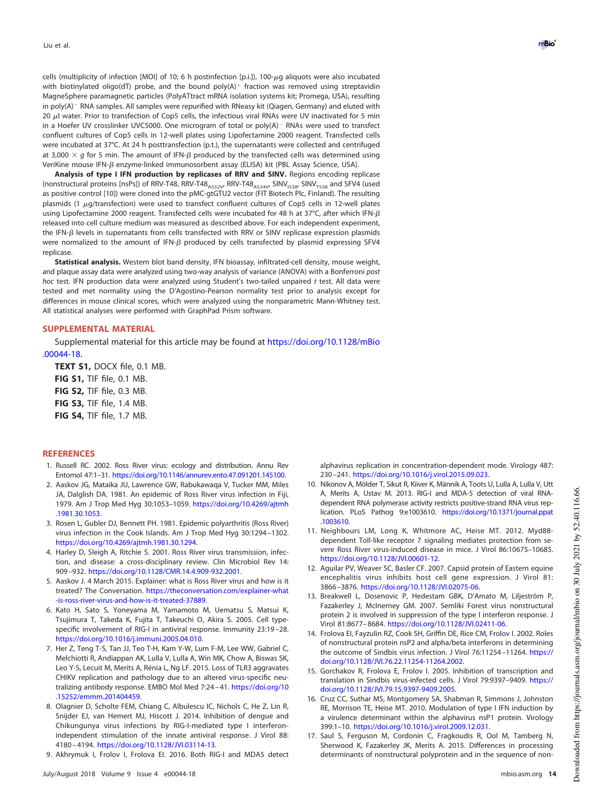cells (multiplicity of infection [MOI] of 10; 6 h postinfection [p.i.]), 100-µg aliquots were also incubated with biotinylated oligo(dT) probe, and the bound  $poly(A)^+$  fraction was removed using streptavidin MagneSphere paramagnetic particles (PolyATtract mRNA isolation systems kit; Promega, USA), resulting in poly(A)<sup>-</sup> RNA samples. All samples were repurified with RNeasy kit (Qiagen, Germany) and eluted with 20  $\mu$ l water. Prior to transfection of Cop5 cells, the infectious viral RNAs were UV inactivated for 5 min in a Hoefer UV crosslinker UVC5000. One microgram of total or poly(A)<sup>-</sup> RNAs were used to transfect confluent cultures of Cop5 cells in 12-well plates using Lipofectamine 2000 reagent. Transfected cells were incubated at 37°C. At 24 h posttransfection (p.t.), the supernatants were collected and centrifuged at 3,000  $\times$  g for 5 min. The amount of IFN- $\beta$  produced by the transfected cells was determined using VeriKine mouse IFN- $\beta$  enzyme-linked immunosorbent assay (ELISA) kit (PBL Assay Science, USA).

**Analysis of type I IFN production by replicases of RRV and SINV.** Regions encoding replicase (nonstructural proteins [nsPs]) of RRV-T48, RRV-T48<sub>A532V</sub>, RRV-T48<sub>A534V</sub>, SINV<sub>1538</sub>, SINV<sub>T538</sub> and SFV4 (used as positive control [\[10\]](#page-13-9)) were cloned into the pMC-gtGTU2 vector (FIT Biotech Plc, Finland). The resulting plasmids (1 µg/transfection) were used to transfect confluent cultures of Cop5 cells in 12-well plates using Lipofectamine 2000 reagent. Transfected cells were incubated for 48 h at 37°C, after which IFN- $\beta$ released into cell culture medium was measured as described above. For each independent experiment, the IFN- $\beta$  levels in supernatants from cells transfected with RRV or SINV replicase expression plasmids were normalized to the amount of IFN- $\beta$  produced by cells transfected by plasmid expressing SFV4 replicase.

**Statistical analysis.** Western blot band density, IFN bioassay, infiltrated-cell density, mouse weight, and plaque assay data were analyzed using two-way analysis of variance (ANOVA) with a Bonferroni post hoc test. IFN production data were analyzed using Student's two-tailed unpaired  $t$  test. All data were tested and met normality using the D'Agostino-Pearson normality test prior to analysis except for differences in mouse clinical scores, which were analyzed using the nonparametric Mann-Whitney test. All statistical analyses were performed with GraphPad Prism software.

# **SUPPLEMENTAL MATERIAL**

Supplemental material for this article may be found at https://doi.org/10.1128/mBio .00044-18.

**TEXT S1,** DOCX file, 0.1 MB. **FIG S1,** TIF file, 0.1 MB. **FIG S2,** TIF file, 0.3 MB. **FIG S3,** TIF file, 1.4 MB. **FIG S4,** TIF file, 1.7 MB.

#### <span id="page-13-0"></span>**REFERENCES**

- <span id="page-13-1"></span>1. Russell RC. 2002. Ross River virus: ecology and distribution. Annu Rev Entomol 47:1–31. https://doi.org/10.1146/annurev.ento.47.091201.145100.
- 2. Aaskov JG, Mataika JU, Lawrence GW, Rabukawaqa V, Tucker MM, Miles JA, Dalglish DA. 1981. An epidemic of Ross River virus infection in Fiji, 1979. Am J Trop Med Hyg 30:1053–1059. https://doi.org/10.4269/ajtmh .1981.30.1053.
- <span id="page-13-3"></span><span id="page-13-2"></span>3. Rosen L, Gubler DJ, Bennett PH. 1981. Epidemic polyarthritis (Ross River) virus infection in the Cook Islands. Am J Trop Med Hyg 30:1294 –1302. https://doi.org/10.4269/ajtmh.1981.30.1294.
- <span id="page-13-4"></span>4. Harley D, Sleigh A, Ritchie S. 2001. Ross River virus transmission, infection, and disease: a cross-disciplinary review. Clin Microbiol Rev 14: 909 –932. https://doi.org/10.1128/CMR.14.4.909-932.2001.
- <span id="page-13-5"></span>5. Aaskov J. 4 March 2015. Explainer: what is Ross River virus and how is it treated? The Conversation. https://theconversation.com/explainer-what -is-ross-river-virus-and-how-is-it-treated-37889.
- 6. Kato H, Sato S, Yoneyama M, Yamamoto M, Uematsu S, Matsui K, Tsujimura T, Takeda K, Fujita T, Takeuchi O, Akira S. 2005. Cell typespecific involvement of RIG-I in antiviral response. Immunity 23:19 –28. https://doi.org/10.1016/j.immuni.2005.04.010.
- <span id="page-13-6"></span>7. Her Z, Teng T-S, Tan JJ, Teo T-H, Kam Y-W, Lum F-M, Lee WW, Gabriel C, Melchiotti R, Andiappan AK, Lulla V, Lulla A, Win MK, Chow A, Biswas SK, Leo Y-S, Lecuit M, Merits A, Rénia L, Ng LF. 2015. Loss of TLR3 aggravates CHIKV replication and pathology due to an altered virus-specific neutralizing antibody response. EMBO Mol Med 7:24 – 41. https://doi.org/10 .15252/emmm.201404459.
- <span id="page-13-7"></span>8. Olagnier D, Scholte FEM, Chiang C, Albulescu IC, Nichols C, He Z, Lin R, Snijder EJ, van Hemert MJ, Hiscott J. 2014. Inhibition of dengue and Chikungunya virus infections by RIG-I-mediated type I interferonindependent stimulation of the innate antiviral response. J Virol 88: 4180 – 4194. https://doi.org/10.1128/JVI.03114-13.
- <span id="page-13-8"></span>9. Akhrymuk I, Frolov I, Frolova EI. 2016. Both RIG-I and MDA5 detect

alphavirus replication in concentration-dependent mode. Virology 487: 230 –241. https://doi.org/10.1016/j.virol.2015.09.023.

- <span id="page-13-9"></span>10. Nikonov A, Mölder T, Sikut R, Kiiver K, Männik A, Toots U, Lulla A, Lulla V, Utt A, Merits A, Ustav M. 2013. RIG-I and MDA-5 detection of viral RNAdependent RNA polymerase activity restricts positive-strand RNA virus replication. PLoS Pathog 9:e1003610. https://doi.org/10.1371/journal.ppat .1003610.
- <span id="page-13-10"></span>11. Neighbours LM, Long K, Whitmore AC, Heise MT. 2012. Myd88 dependent Toll-like receptor 7 signaling mediates protection from severe Ross River virus-induced disease in mice. J Virol 86:10675–10685. https://doi.org/10.1128/JVI.00601-12.
- <span id="page-13-12"></span><span id="page-13-11"></span>12. Aguilar PV, Weaver SC, Basler CF. 2007. Capsid protein of Eastern equine encephalitis virus inhibits host cell gene expression. J Virol 81: 3866 –3876. https://doi.org/10.1128/JVI.02075-06.
- 13. Breakwell L, Dosenovic P, Hedestam GBK, D'Amato M, Liljeström P, Fazakerley J, McInerney GM. 2007. Semliki Forest virus nonstructural protein 2 is involved in suppression of the type I interferon response. J Virol 81:8677– 8684. https://doi.org/10.1128/JVI.02411-06.
- <span id="page-13-13"></span>14. Frolova EI, Fayzulin RZ, Cook SH, Griffin DE, Rice CM, Frolov I. 2002. Roles of nonstructural protein nsP2 and alpha/beta interferons in determining the outcome of Sindbis virus infection. J Virol 76:11254 –11264. https:// doi.org/10.1128/JVI.76.22.11254-11264.2002.
- <span id="page-13-15"></span><span id="page-13-14"></span>15. Gorchakov R, Frolova E, Frolov I. 2005. Inhibition of transcription and translation in Sindbis virus-infected cells. J Virol 79:9397–9409. https:// doi.org/10.1128/JVI.79.15.9397-9409.2005.
- 16. Cruz CC, Suthar MS, Montgomery SA, Shabman R, Simmons J, Johnston RE, Morrison TE, Heise MT. 2010. Modulation of type I IFN induction by a virulence determinant within the alphavirus nsP1 protein. Virology 399:1–10. https://doi.org/10.1016/j.virol.2009.12.031.
- <span id="page-13-16"></span>17. Saul S, Ferguson M, Cordonin C, Fragkoudis R, Ool M, Tamberg N, Sherwood K, Fazakerley JK, Merits A. 2015. Differences in processing determinants of nonstructural polyprotein and in the sequence of non-